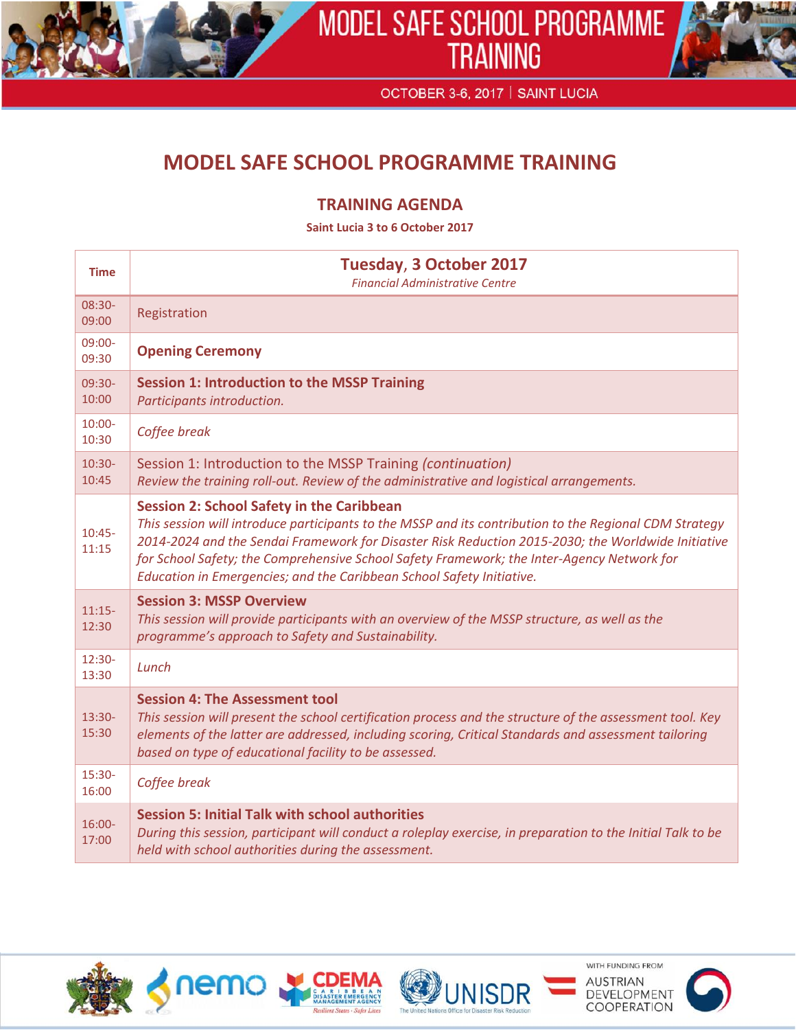



OCTOBER 3-6, 2017 | SAINT LUCIA

## **MODEL SAFE SCHOOL PROGRAMME TRAINING**

## **TRAINING AGENDA**

**Saint Lucia 3 to 6 October 2017**

| <b>Time</b>        | <b>Tuesday, 3 October 2017</b><br><b>Financial Administrative Centre</b>                                                                                                                                                                                                                                                                                                                                                                |
|--------------------|-----------------------------------------------------------------------------------------------------------------------------------------------------------------------------------------------------------------------------------------------------------------------------------------------------------------------------------------------------------------------------------------------------------------------------------------|
| 08:30-<br>09:00    | Registration                                                                                                                                                                                                                                                                                                                                                                                                                            |
| 09:00-<br>09:30    | <b>Opening Ceremony</b>                                                                                                                                                                                                                                                                                                                                                                                                                 |
| 09:30-<br>10:00    | <b>Session 1: Introduction to the MSSP Training</b><br>Participants introduction.                                                                                                                                                                                                                                                                                                                                                       |
| $10:00 -$<br>10:30 | Coffee break                                                                                                                                                                                                                                                                                                                                                                                                                            |
| $10:30-$<br>10:45  | Session 1: Introduction to the MSSP Training (continuation)<br>Review the training roll-out. Review of the administrative and logistical arrangements.                                                                                                                                                                                                                                                                                  |
| $10:45-$<br>11:15  | <b>Session 2: School Safety in the Caribbean</b><br>This session will introduce participants to the MSSP and its contribution to the Regional CDM Strategy<br>2014-2024 and the Sendai Framework for Disaster Risk Reduction 2015-2030; the Worldwide Initiative<br>for School Safety; the Comprehensive School Safety Framework; the Inter-Agency Network for<br>Education in Emergencies; and the Caribbean School Safety Initiative. |
| $11:15-$<br>12:30  | <b>Session 3: MSSP Overview</b><br>This session will provide participants with an overview of the MSSP structure, as well as the<br>programme's approach to Safety and Sustainability.                                                                                                                                                                                                                                                  |
| $12:30-$<br>13:30  | Lunch                                                                                                                                                                                                                                                                                                                                                                                                                                   |
| $13:30-$<br>15:30  | <b>Session 4: The Assessment tool</b><br>This session will present the school certification process and the structure of the assessment tool. Key<br>elements of the latter are addressed, including scoring, Critical Standards and assessment tailoring<br>based on type of educational facility to be assessed.                                                                                                                      |
| 15:30-<br>16:00    | Coffee break                                                                                                                                                                                                                                                                                                                                                                                                                            |
| $16:00 -$<br>17:00 | <b>Session 5: Initial Talk with school authorities</b><br>During this session, participant will conduct a roleplay exercise, in preparation to the Initial Talk to be<br>held with school authorities during the assessment.                                                                                                                                                                                                            |





WITH FUNDING FROM **AUSTRIAN** DEVELOPMENT **COOPERATION** 

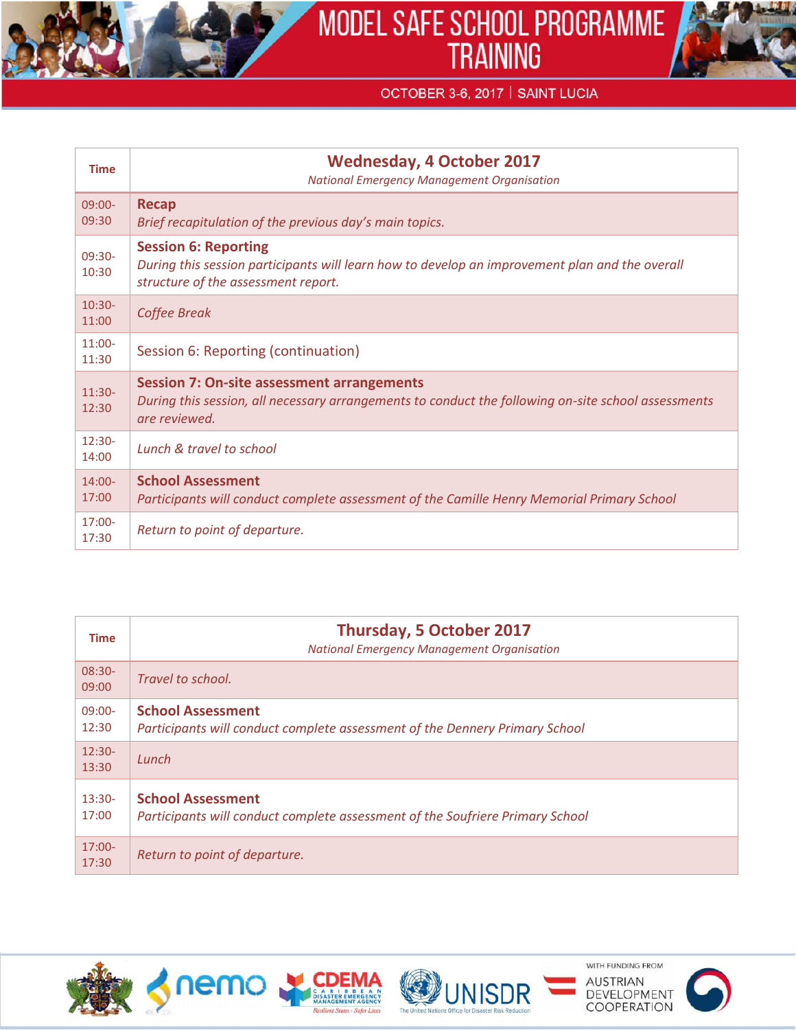

## OCTOBER 3-6, 2017 | SAINT LUCIA

| <b>Time</b>        | <b>Wednesday, 4 October 2017</b><br><b>National Emergency Management Organisation</b>                                                                                     |
|--------------------|---------------------------------------------------------------------------------------------------------------------------------------------------------------------------|
| $09:00-$<br>09:30  | <b>Recap</b><br>Brief recapitulation of the previous day's main topics.                                                                                                   |
| 09:30-<br>10:30    | <b>Session 6: Reporting</b><br>During this session participants will learn how to develop an improvement plan and the overall<br>structure of the assessment report.      |
| $10:30-$<br>11:00  | Coffee Break                                                                                                                                                              |
| $11:00-$<br>11:30  | Session 6: Reporting (continuation)                                                                                                                                       |
| $11:30-$<br>12:30  | <b>Session 7: On-site assessment arrangements</b><br>During this session, all necessary arrangements to conduct the following on-site school assessments<br>are reviewed. |
| $12:30-$<br>14:00  | Lunch & travel to school                                                                                                                                                  |
| $14:00 -$<br>17:00 | <b>School Assessment</b><br>Participants will conduct complete assessment of the Camille Henry Memorial Primary School                                                    |
| $17:00 -$<br>17:30 | Return to point of departure.                                                                                                                                             |

| <b>Time</b>        | <b>Thursday, 5 October 2017</b><br><b>National Emergency Management Organisation</b>                      |
|--------------------|-----------------------------------------------------------------------------------------------------------|
| $08:30-$<br>09:00  | Travel to school.                                                                                         |
| $09:00 -$<br>12:30 | <b>School Assessment</b><br>Participants will conduct complete assessment of the Dennery Primary School   |
| $12:30-$<br>13:30  | Lunch                                                                                                     |
| $13:30-$<br>17:00  | <b>School Assessment</b><br>Participants will conduct complete assessment of the Soufriere Primary School |
| $17:00-$<br>17:30  | Return to point of departure.                                                                             |





WITH FUNDING FROM **AUSTRIAN** DEVELOPMENT **COOPERATION**